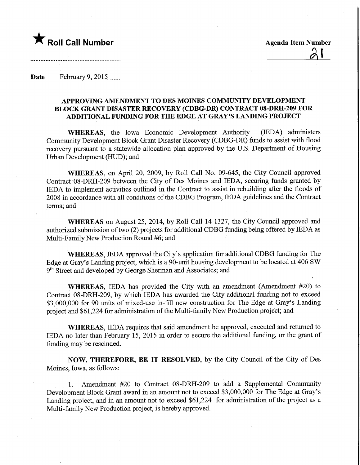

 $21$ 

Date ........February 9, 2015.......

## APPROVING AMENDMENT TO DES MOINES COMMUNITY DEVELOPMENT BLOCK GRANT DISASTER RECOVERY (CDBG-DR) CONTRACT 08-DRH-209 FOR ADDITIONAL FUNDING FOR THE EDGE AT GRAY'S LANDING PROJECT

WHEREAS, the Iowa Economic Development Authority (IEDA) administers Community Development Block Grant Disaster Recovery (CDBG-DR) funds to assist with flood recovery pursuant to a statewide allocation plan approved by the U.S. Department of Housing Urban Development (HUD); and

WHEREAS, on April 20, 2009, by Roll Call No. 09-645, the City Council approved Contract 08-DRH-209 between the City of Des Moines and IEDA, securing funds granted by IEDA to implement activities outlined in the Contract to assist in rebuilding after the floods of 2008 in accordance with all conditions of the CDBG Program, IEDA guidelines and the Contract terms; and

WHEREAS on August 25, 2014, by Roll Call 14-1327, the City Council approved and authorized submission of two (2) projects for additional CDBG funding being offered by IEDA as Multi-Family New Production Round #6; and

WHEREAS, IEDA approved the City's application for additional CDBG funding for The Edge at Gray's Landing project, which is a 90-unit housing development to be located at 406 SW 9<sup>th</sup> Street and developed by George Sherman and Associates; and

WHEREAS, IEDA has provided the City with an amendment (Amendment #20) to Contract 08-DRH-209, by which IEDA has awarded the City additional funding not to exceed \$3,000,000 for 90 units of mixed-use in-fill new construction for The Edge at Gray's Landing project and \$61,224 for administration of the Multi-family New Production project; and

WHEREAS, IEDA requires that said amendment be approved, executed and returned to IEDA no later than February 15, 2015 in order to secure the additional funding, or the grant of funding may be rescinded.

NOW, THEREFORE, BE IT RESOLVED, by the City Council of the City of Des Moines, Iowa, as follows:

1. Amendment #20 to Contract 08-DRH-209 to add a Supplemental Community Development Block Grant award in an amount not to exceed \$3,000,000 for The Edge at Gray's Landing project, and in an amount not to exceed \$61,224 for administration of the project as a Multi-family New Production project, is hereby approved.